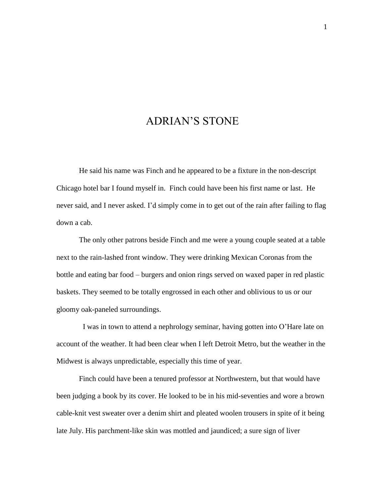## ADRIAN'S STONE

He said his name was Finch and he appeared to be a fixture in the non-descript Chicago hotel bar I found myself in. Finch could have been his first name or last. He never said, and I never asked. I'd simply come in to get out of the rain after failing to flag down a cab.

The only other patrons beside Finch and me were a young couple seated at a table next to the rain-lashed front window. They were drinking Mexican Coronas from the bottle and eating bar food – burgers and onion rings served on waxed paper in red plastic baskets. They seemed to be totally engrossed in each other and oblivious to us or our gloomy oak-paneled surroundings.

I was in town to attend a nephrology seminar, having gotten into O'Hare late on account of the weather. It had been clear when I left Detroit Metro, but the weather in the Midwest is always unpredictable, especially this time of year.

Finch could have been a tenured professor at Northwestern, but that would have been judging a book by its cover. He looked to be in his mid-seventies and wore a brown cable-knit vest sweater over a denim shirt and pleated woolen trousers in spite of it being late July. His parchment-like skin was mottled and jaundiced; a sure sign of liver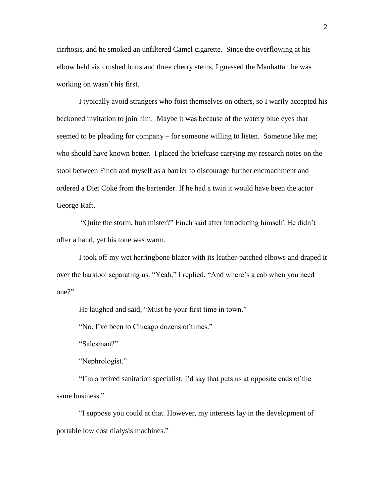cirrhosis, and he smoked an unfiltered Camel cigarette. Since the overflowing at his elbow held six crushed butts and three cherry stems, I guessed the Manhattan he was working on wasn't his first.

I typically avoid strangers who foist themselves on others, so I warily accepted his beckoned invitation to join him. Maybe it was because of the watery blue eyes that seemed to be pleading for company – for someone willing to listen. Someone like me; who should have known better. I placed the briefcase carrying my research notes on the stool between Finch and myself as a barrier to discourage further encroachment and ordered a Diet Coke from the bartender. If he had a twin it would have been the actor George Raft.

"Quite the storm, huh mister?" Finch said after introducing himself. He didn't offer a hand, yet his tone was warm.

I took off my wet herringbone blazer with its leather-patched elbows and draped it over the barstool separating us. "Yeah," I replied. "And where's a cab when you need one?"

He laughed and said, "Must be your first time in town."

"No. I've been to Chicago dozens of times."

"Salesman?"

"Nephrologist."

"I'm a retired sanitation specialist. I'd say that puts us at opposite ends of the same business."

"I suppose you could at that. However, my interests lay in the development of portable low cost dialysis machines."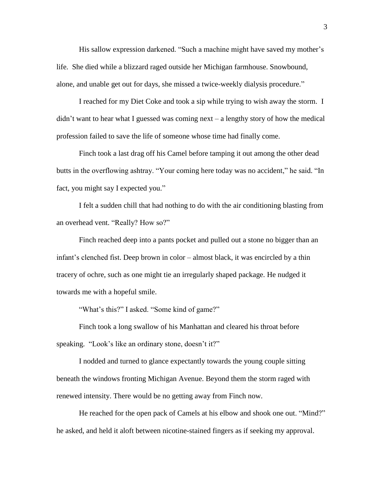His sallow expression darkened. "Such a machine might have saved my mother's life. She died while a blizzard raged outside her Michigan farmhouse. Snowbound, alone, and unable get out for days, she missed a twice-weekly dialysis procedure."

I reached for my Diet Coke and took a sip while trying to wish away the storm. I didn't want to hear what I guessed was coming next – a lengthy story of how the medical profession failed to save the life of someone whose time had finally come.

Finch took a last drag off his Camel before tamping it out among the other dead butts in the overflowing ashtray. "Your coming here today was no accident," he said. "In fact, you might say I expected you."

I felt a sudden chill that had nothing to do with the air conditioning blasting from an overhead vent. "Really? How so?"

Finch reached deep into a pants pocket and pulled out a stone no bigger than an infant's clenched fist. Deep brown in color – almost black, it was encircled by a thin tracery of ochre, such as one might tie an irregularly shaped package. He nudged it towards me with a hopeful smile.

"What's this?" I asked. "Some kind of game?"

Finch took a long swallow of his Manhattan and cleared his throat before speaking. "Look's like an ordinary stone, doesn't it?"

I nodded and turned to glance expectantly towards the young couple sitting beneath the windows fronting Michigan Avenue. Beyond them the storm raged with renewed intensity. There would be no getting away from Finch now.

He reached for the open pack of Camels at his elbow and shook one out. "Mind?" he asked, and held it aloft between nicotine-stained fingers as if seeking my approval.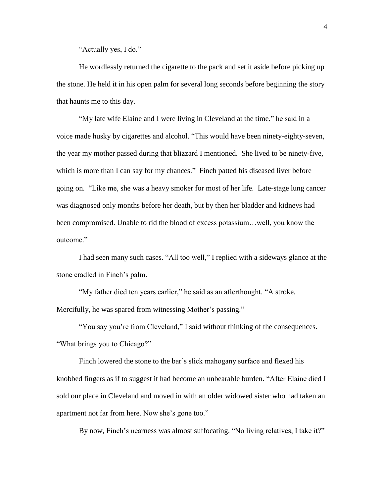"Actually yes, I do."

He wordlessly returned the cigarette to the pack and set it aside before picking up the stone. He held it in his open palm for several long seconds before beginning the story that haunts me to this day.

"My late wife Elaine and I were living in Cleveland at the time," he said in a voice made husky by cigarettes and alcohol. "This would have been ninety-eighty-seven, the year my mother passed during that blizzard I mentioned. She lived to be ninety-five, which is more than I can say for my chances." Finch patted his diseased liver before going on. "Like me, she was a heavy smoker for most of her life. Late-stage lung cancer was diagnosed only months before her death, but by then her bladder and kidneys had been compromised. Unable to rid the blood of excess potassium…well, you know the outcome."

I had seen many such cases. "All too well," I replied with a sideways glance at the stone cradled in Finch's palm.

"My father died ten years earlier," he said as an afterthought. "A stroke. Mercifully, he was spared from witnessing Mother's passing."

"You say you're from Cleveland," I said without thinking of the consequences. "What brings you to Chicago?"

Finch lowered the stone to the bar's slick mahogany surface and flexed his knobbed fingers as if to suggest it had become an unbearable burden. "After Elaine died I sold our place in Cleveland and moved in with an older widowed sister who had taken an apartment not far from here. Now she's gone too."

By now, Finch's nearness was almost suffocating. "No living relatives, I take it?"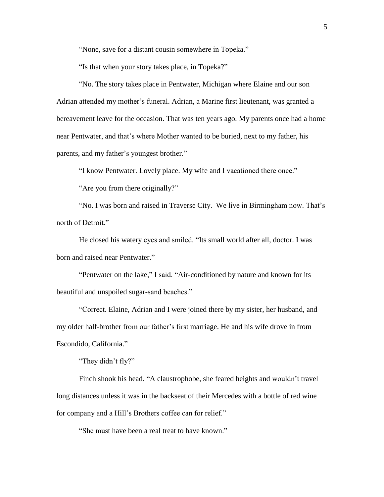"None, save for a distant cousin somewhere in Topeka."

"Is that when your story takes place, in Topeka?"

"No. The story takes place in Pentwater, Michigan where Elaine and our son Adrian attended my mother's funeral. Adrian, a Marine first lieutenant, was granted a bereavement leave for the occasion. That was ten years ago. My parents once had a home near Pentwater, and that's where Mother wanted to be buried, next to my father, his parents, and my father's youngest brother."

"I know Pentwater. Lovely place. My wife and I vacationed there once."

"Are you from there originally?"

"No. I was born and raised in Traverse City. We live in Birmingham now. That's north of Detroit."

He closed his watery eyes and smiled. "Its small world after all, doctor. I was born and raised near Pentwater."

"Pentwater on the lake," I said. "Air-conditioned by nature and known for its beautiful and unspoiled sugar-sand beaches."

"Correct. Elaine, Adrian and I were joined there by my sister, her husband, and my older half-brother from our father's first marriage. He and his wife drove in from Escondido, California."

"They didn't fly?"

Finch shook his head. "A claustrophobe, she feared heights and wouldn't travel long distances unless it was in the backseat of their Mercedes with a bottle of red wine for company and a Hill's Brothers coffee can for relief."

"She must have been a real treat to have known."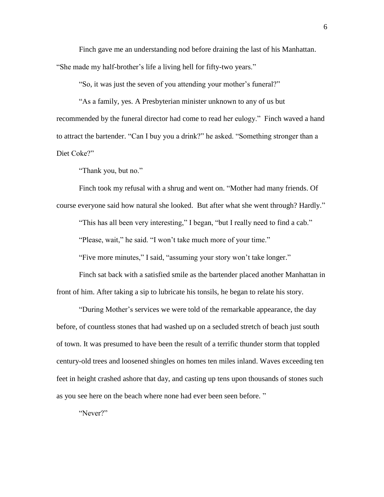Finch gave me an understanding nod before draining the last of his Manhattan. "She made my half-brother's life a living hell for fifty-two years."

"So, it was just the seven of you attending your mother's funeral?"

"As a family, yes. A Presbyterian minister unknown to any of us but recommended by the funeral director had come to read her eulogy." Finch waved a hand to attract the bartender. "Can I buy you a drink?" he asked. "Something stronger than a Diet Coke?"

"Thank you, but no."

Finch took my refusal with a shrug and went on. "Mother had many friends. Of course everyone said how natural she looked. But after what she went through? Hardly."

"This has all been very interesting," I began, "but I really need to find a cab."

"Please, wait," he said. "I won't take much more of your time."

"Five more minutes," I said, "assuming your story won't take longer."

Finch sat back with a satisfied smile as the bartender placed another Manhattan in front of him. After taking a sip to lubricate his tonsils, he began to relate his story.

"During Mother's services we were told of the remarkable appearance, the day before, of countless stones that had washed up on a secluded stretch of beach just south of town. It was presumed to have been the result of a terrific thunder storm that toppled century-old trees and loosened shingles on homes ten miles inland. Waves exceeding ten feet in height crashed ashore that day, and casting up tens upon thousands of stones such as you see here on the beach where none had ever been seen before. "

"Never?"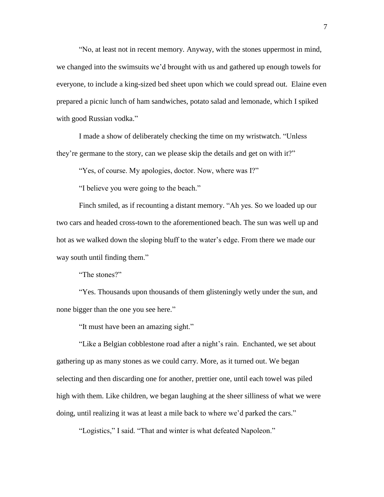"No, at least not in recent memory. Anyway, with the stones uppermost in mind, we changed into the swimsuits we'd brought with us and gathered up enough towels for everyone, to include a king-sized bed sheet upon which we could spread out. Elaine even prepared a picnic lunch of ham sandwiches, potato salad and lemonade, which I spiked with good Russian vodka."

I made a show of deliberately checking the time on my wristwatch. "Unless they're germane to the story, can we please skip the details and get on with it?"

"Yes, of course. My apologies, doctor. Now, where was I?"

"I believe you were going to the beach."

Finch smiled, as if recounting a distant memory. "Ah yes. So we loaded up our two cars and headed cross-town to the aforementioned beach. The sun was well up and hot as we walked down the sloping bluff to the water's edge. From there we made our way south until finding them."

"The stones?"

"Yes. Thousands upon thousands of them glisteningly wetly under the sun, and none bigger than the one you see here."

"It must have been an amazing sight."

"Like a Belgian cobblestone road after a night's rain. Enchanted, we set about gathering up as many stones as we could carry. More, as it turned out. We began selecting and then discarding one for another, prettier one, until each towel was piled high with them. Like children, we began laughing at the sheer silliness of what we were doing, until realizing it was at least a mile back to where we'd parked the cars."

"Logistics," I said. "That and winter is what defeated Napoleon."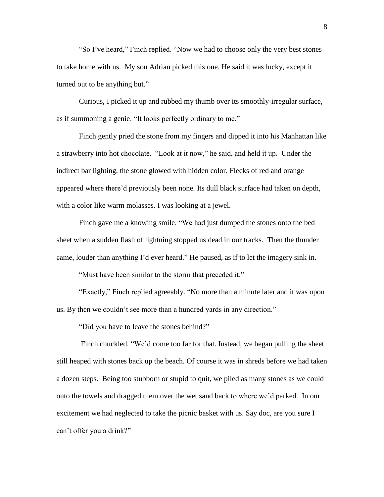"So I've heard," Finch replied. "Now we had to choose only the very best stones to take home with us. My son Adrian picked this one. He said it was lucky, except it turned out to be anything but."

Curious, I picked it up and rubbed my thumb over its smoothly-irregular surface, as if summoning a genie. "It looks perfectly ordinary to me."

Finch gently pried the stone from my fingers and dipped it into his Manhattan like a strawberry into hot chocolate. "Look at it now," he said, and held it up. Under the indirect bar lighting, the stone glowed with hidden color. Flecks of red and orange appeared where there'd previously been none. Its dull black surface had taken on depth, with a color like warm molasses. I was looking at a jewel.

Finch gave me a knowing smile. "We had just dumped the stones onto the bed sheet when a sudden flash of lightning stopped us dead in our tracks. Then the thunder came, louder than anything I'd ever heard." He paused, as if to let the imagery sink in.

"Must have been similar to the storm that preceded it."

"Exactly," Finch replied agreeably. "No more than a minute later and it was upon us. By then we couldn't see more than a hundred yards in any direction."

"Did you have to leave the stones behind?"

Finch chuckled. "We'd come too far for that. Instead, we began pulling the sheet still heaped with stones back up the beach. Of course it was in shreds before we had taken a dozen steps. Being too stubborn or stupid to quit, we piled as many stones as we could onto the towels and dragged them over the wet sand back to where we'd parked. In our excitement we had neglected to take the picnic basket with us. Say doc, are you sure I can't offer you a drink?"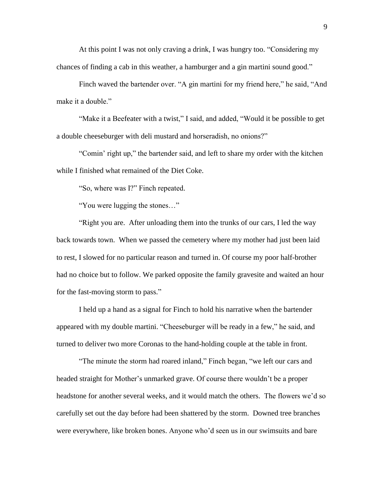At this point I was not only craving a drink, I was hungry too. "Considering my chances of finding a cab in this weather, a hamburger and a gin martini sound good."

Finch waved the bartender over. "A gin martini for my friend here," he said, "And make it a double."

"Make it a Beefeater with a twist," I said, and added, "Would it be possible to get a double cheeseburger with deli mustard and horseradish, no onions?"

"Comin' right up," the bartender said, and left to share my order with the kitchen while I finished what remained of the Diet Coke.

"So, where was I?" Finch repeated.

"You were lugging the stones…"

"Right you are. After unloading them into the trunks of our cars, I led the way back towards town. When we passed the cemetery where my mother had just been laid to rest, I slowed for no particular reason and turned in. Of course my poor half-brother had no choice but to follow. We parked opposite the family gravesite and waited an hour for the fast-moving storm to pass."

I held up a hand as a signal for Finch to hold his narrative when the bartender appeared with my double martini. "Cheeseburger will be ready in a few," he said, and turned to deliver two more Coronas to the hand-holding couple at the table in front.

"The minute the storm had roared inland," Finch began, "we left our cars and headed straight for Mother's unmarked grave. Of course there wouldn't be a proper headstone for another several weeks, and it would match the others. The flowers we'd so carefully set out the day before had been shattered by the storm. Downed tree branches were everywhere, like broken bones. Anyone who'd seen us in our swimsuits and bare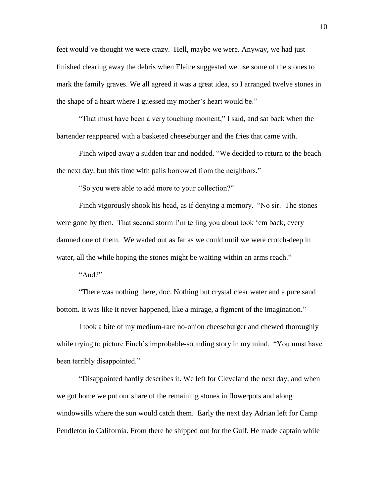feet would've thought we were crazy. Hell, maybe we were. Anyway, we had just finished clearing away the debris when Elaine suggested we use some of the stones to mark the family graves. We all agreed it was a great idea, so I arranged twelve stones in the shape of a heart where I guessed my mother's heart would be."

"That must have been a very touching moment," I said, and sat back when the bartender reappeared with a basketed cheeseburger and the fries that came with.

Finch wiped away a sudden tear and nodded. "We decided to return to the beach the next day, but this time with pails borrowed from the neighbors."

"So you were able to add more to your collection?"

Finch vigorously shook his head, as if denying a memory. "No sir. The stones were gone by then. That second storm I'm telling you about took 'em back, every damned one of them. We waded out as far as we could until we were crotch-deep in water, all the while hoping the stones might be waiting within an arms reach."

" $And?$ "

"There was nothing there, doc. Nothing but crystal clear water and a pure sand bottom. It was like it never happened, like a mirage, a figment of the imagination."

I took a bite of my medium-rare no-onion cheeseburger and chewed thoroughly while trying to picture Finch's improbable-sounding story in my mind. "You must have been terribly disappointed."

"Disappointed hardly describes it. We left for Cleveland the next day, and when we got home we put our share of the remaining stones in flowerpots and along windowsills where the sun would catch them. Early the next day Adrian left for Camp Pendleton in California. From there he shipped out for the Gulf. He made captain while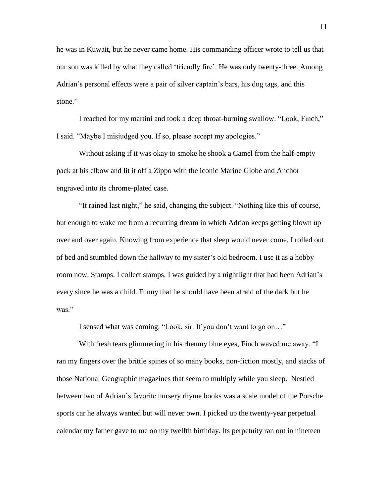he was in Kuwait, but he never came home. His commanding officer wrote to tell us that our son was killed by what they called 'friendly fire'. He was only twenty-three. Among Adrian's personal effects were a pair of silver captain's bars, his dog tags, and this stone"

I reached for my martini and took a deep throat-burning swallow. "Look, Finch," I said. "Maybe I misjudged you. If so, please accept my apologies."

Without asking if it was okay to smoke he shook a Camel from the half-empty pack at his elbow and lit it off a Zippo with the iconic Marine Globe and Anchor engraved into its chrome-plated case.

"It rained last night," he said, changing the subject. "Nothing like this of course, but enough to wake me from a recurring dream in which Adrian keeps getting blown up over and over again. Knowing from experience that sleep would never come, I rolled out of bed and stumbled down the hallway to my sister's old bedroom. I use it as a hobby room now. Stamps. I collect stamps. I was guided by a nightlight that had been Adrian's every since he was a child. Funny that he should have been afraid of the dark but he was."

I sensed what was coming. "Look, sir. If you don't want to go on…"

With fresh tears glimmering in his rheumy blue eyes, Finch waved me away. "I ran my fingers over the brittle spines of so many books, non-fiction mostly, and stacks of those National Geographic magazines that seem to multiply while you sleep. Nestled between two of Adrian's favorite nursery rhyme books was a scale model of the Porsche sports car he always wanted but will never own. I picked up the twenty-year perpetual calendar my father gave to me on my twelfth birthday. Its perpetuity ran out in nineteen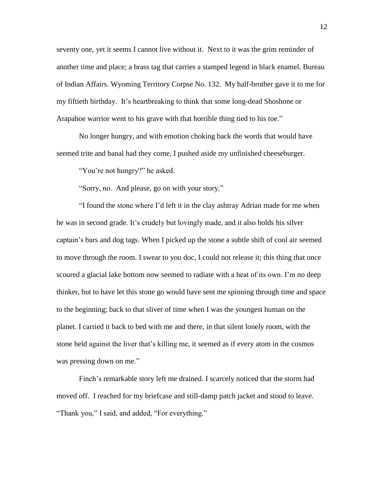seventy one, yet it seems I cannot live without it. Next to it was the grim reminder of another time and place; a brass tag that carries a stamped legend in black enamel. Bureau of Indian Affairs. Wyoming Territory Corpse No. 132. My half-brother gave it to me for my fiftieth birthday. It's heartbreaking to think that some long-dead Shoshone or Arapahoe warrior went to his grave with that horrible thing tied to his toe."

No longer hungry, and with emotion choking back the words that would have seemed trite and banal had they come, I pushed aside my unfinished cheeseburger.

"You're not hungry?" he asked.

"Sorry, no. And please, go on with your story."

"I found the stone where I'd left it in the clay ashtray Adrian made for me when he was in second grade. It's crudely but lovingly made, and it also holds his silver captain's bars and dog tags. When I picked up the stone a subtle shift of cool air seemed to move through the room. I swear to you doc, I could not release it; this thing that once scoured a glacial lake bottom now seemed to radiate with a heat of its own. I'm no deep thinker, but to have let this stone go would have sent me spinning through time and space to the beginning; back to that sliver of time when I was the youngest human on the planet. I carried it back to bed with me and there, in that silent lonely room, with the stone held against the liver that's killing me, it seemed as if every atom in the cosmos was pressing down on me."

Finch's remarkable story left me drained. I scarcely noticed that the storm had moved off. I reached for my briefcase and still-damp patch jacket and stood to leave. "Thank you," I said, and added, "For everything."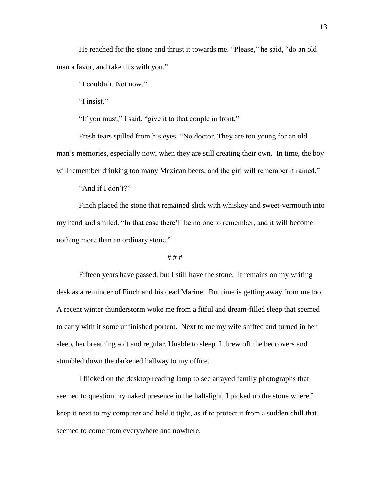He reached for the stone and thrust it towards me. "Please," he said, "do an old man a favor, and take this with you."

"I couldn't. Not now."

"I insist."

"If you must," I said, "give it to that couple in front."

Fresh tears spilled from his eyes. "No doctor. They are too young for an old man's memories, especially now, when they are still creating their own. In time, the boy will remember drinking too many Mexican beers, and the girl will remember it rained."

"And if I don't?"

Finch placed the stone that remained slick with whiskey and sweet-vermouth into my hand and smiled. "In that case there'll be no one to remember, and it will become nothing more than an ordinary stone."

# # #

Fifteen years have passed, but I still have the stone. It remains on my writing desk as a reminder of Finch and his dead Marine. But time is getting away from me too. A recent winter thunderstorm woke me from a fitful and dream-filled sleep that seemed to carry with it some unfinished portent. Next to me my wife shifted and turned in her sleep, her breathing soft and regular. Unable to sleep, I threw off the bedcovers and stumbled down the darkened hallway to my office.

I flicked on the desktop reading lamp to see arrayed family photographs that seemed to question my naked presence in the half-light. I picked up the stone where I keep it next to my computer and held it tight, as if to protect it from a sudden chill that seemed to come from everywhere and nowhere.